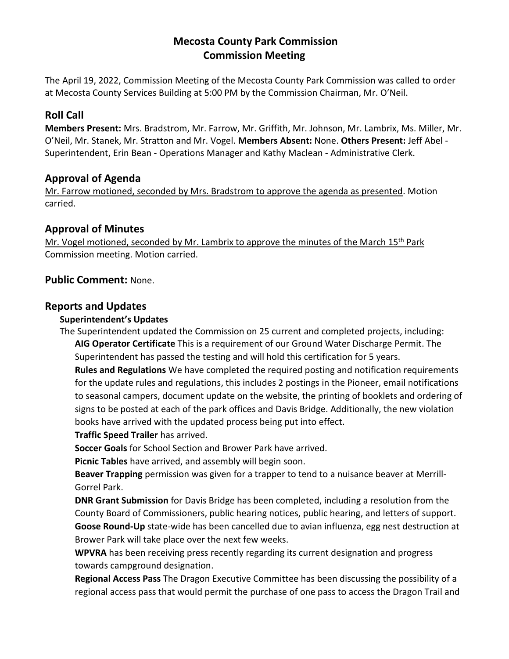# **Mecosta County Park Commission Commission Meeting**

The April 19, 2022, Commission Meeting of the Mecosta County Park Commission was called to order at Mecosta County Services Building at 5:00 PM by the Commission Chairman, Mr. O'Neil.

# **Roll Call**

**Members Present:** Mrs. Bradstrom, Mr. Farrow, Mr. Griffith, Mr. Johnson, Mr. Lambrix, Ms. Miller, Mr. O'Neil, Mr. Stanek, Mr. Stratton and Mr. Vogel. **Members Absent:** None. **Others Present:** Jeff Abel - Superintendent, Erin Bean - Operations Manager and Kathy Maclean - Administrative Clerk.

# **Approval of Agenda**

Mr. Farrow motioned, seconded by Mrs. Bradstrom to approve the agenda as presented. Motion carried.

# **Approval of Minutes**

Mr. Vogel motioned, seconded by Mr. Lambrix to approve the minutes of the March 15<sup>th</sup> Park Commission meeting. Motion carried.

# **Public Comment:** None.

# **Reports and Updates**

## **Superintendent's Updates**

The Superintendent updated the Commission on 25 current and completed projects, including: **AIG Operator Certificate** This is a requirement of our Ground Water Discharge Permit. The Superintendent has passed the testing and will hold this certification for 5 years.

**Rules and Regulations** We have completed the required posting and notification requirements for the update rules and regulations, this includes 2 postings in the Pioneer, email notifications to seasonal campers, document update on the website, the printing of booklets and ordering of signs to be posted at each of the park offices and Davis Bridge. Additionally, the new violation books have arrived with the updated process being put into effect.

**Traffic Speed Trailer** has arrived.

**Soccer Goals** for School Section and Brower Park have arrived.

**Picnic Tables** have arrived, and assembly will begin soon.

**Beaver Trapping** permission was given for a trapper to tend to a nuisance beaver at Merrill-Gorrel Park.

**DNR Grant Submission** for Davis Bridge has been completed, including a resolution from the County Board of Commissioners, public hearing notices, public hearing, and letters of support. **Goose Round-Up** state-wide has been cancelled due to avian influenza, egg nest destruction at Brower Park will take place over the next few weeks.

**WPVRA** has been receiving press recently regarding its current designation and progress towards campground designation.

**Regional Access Pass** The Dragon Executive Committee has been discussing the possibility of a regional access pass that would permit the purchase of one pass to access the Dragon Trail and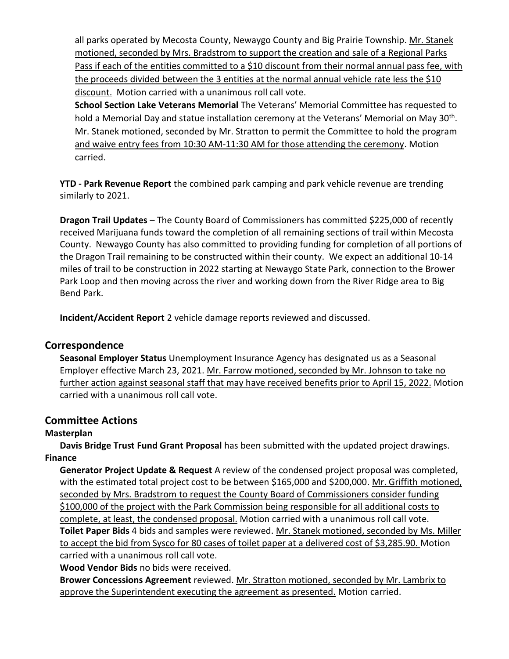all parks operated by Mecosta County, Newaygo County and Big Prairie Township. Mr. Stanek motioned, seconded by Mrs. Bradstrom to support the creation and sale of a Regional Parks Pass if each of the entities committed to a \$10 discount from their normal annual pass fee, with the proceeds divided between the 3 entities at the normal annual vehicle rate less the \$10 discount. Motion carried with a unanimous roll call vote.

**School Section Lake Veterans Memorial** The Veterans' Memorial Committee has requested to hold a Memorial Day and statue installation ceremony at the Veterans' Memorial on May 30<sup>th</sup>. Mr. Stanek motioned, seconded by Mr. Stratton to permit the Committee to hold the program and waive entry fees from 10:30 AM-11:30 AM for those attending the ceremony. Motion carried.

**YTD - Park Revenue Report** the combined park camping and park vehicle revenue are trending similarly to 2021.

**Dragon Trail Updates** – The County Board of Commissioners has committed \$225,000 of recently received Marijuana funds toward the completion of all remaining sections of trail within Mecosta County. Newaygo County has also committed to providing funding for completion of all portions of the Dragon Trail remaining to be constructed within their county. We expect an additional 10-14 miles of trail to be construction in 2022 starting at Newaygo State Park, connection to the Brower Park Loop and then moving across the river and working down from the River Ridge area to Big Bend Park.

**Incident/Accident Report** 2 vehicle damage reports reviewed and discussed.

## **Correspondence**

**Seasonal Employer Status** Unemployment Insurance Agency has designated us as a Seasonal Employer effective March 23, 2021. Mr. Farrow motioned, seconded by Mr. Johnson to take no further action against seasonal staff that may have received benefits prior to April 15, 2022. Motion carried with a unanimous roll call vote.

## **Committee Actions**

#### **Masterplan**

**Davis Bridge Trust Fund Grant Proposal** has been submitted with the updated project drawings. **Finance**

**Generator Project Update & Request** A review of the condensed project proposal was completed, with the estimated total project cost to be between \$165,000 and \$200,000. Mr. Griffith motioned, seconded by Mrs. Bradstrom to request the County Board of Commissioners consider funding \$100,000 of the project with the Park Commission being responsible for all additional costs to complete, at least, the condensed proposal. Motion carried with a unanimous roll call vote. **Toilet Paper Bids** 4 bids and samples were reviewed. Mr. Stanek motioned, seconded by Ms. Miller to accept the bid from Sysco for 80 cases of toilet paper at a delivered cost of \$3,285.90. Motion carried with a unanimous roll call vote.

**Wood Vendor Bids** no bids were received.

**Brower Concessions Agreement** reviewed. Mr. Stratton motioned, seconded by Mr. Lambrix to approve the Superintendent executing the agreement as presented. Motion carried.